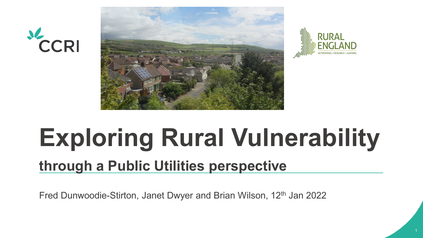





# **Exploring Rural Vulnerability**

### **through a Public Utilities perspective**

Fred Dunwoodie-Stirton, Janet Dwyer and Brian Wilson, 12<sup>th</sup> Jan 2022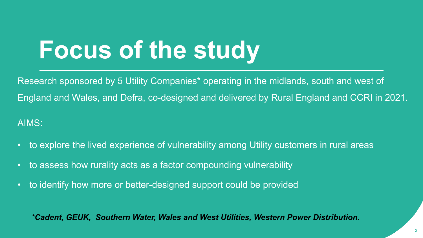## **Focus of the study**

Research sponsored by 5 Utility Companies\* operating in the midlands, south and west of England and Wales, and Defra, co-designed and delivered by Rural England and CCRI in 2021. AIMS:

- to explore the lived experience of vulnerability among Utility customers in rural areas
- to assess how rurality acts as a factor compounding vulnerability
- to identify how more or better-designed support could be provided

*\*Cadent, GEUK, Southern Water, Wales and West Utilities, Western Power Distribution.*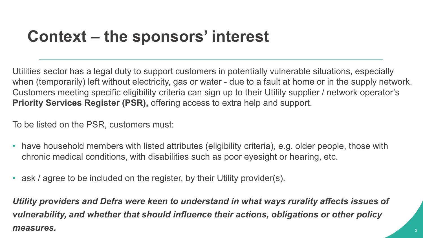### **Context – the sponsors' interest**

Utilities sector has a legal duty to support customers in potentially vulnerable situations, especially when (temporarily) left without electricity, gas or water - due to a fault at home or in the supply network. Customers meeting specific eligibility criteria can sign up to their Utility supplier / network operator's **Priority Services Register (PSR),** offering access to extra help and support.

To be listed on the PSR, customers must:

- have household members with listed attributes (eligibility criteria), e.g. older people, those with chronic medical conditions, with disabilities such as poor eyesight or hearing, etc.
- ask / agree to be included on the register, by their Utility provider(s).

*Utility providers and Defra were keen to understand in what ways rurality affects issues of vulnerability, and whether that should influence their actions, obligations or other policy measures.*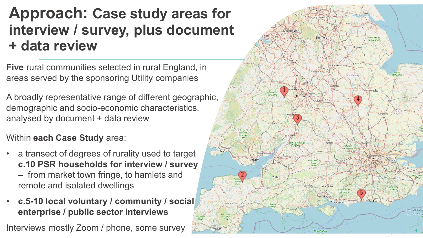### **Approach: Case study areas for interview / survey, plus document + data review**

**Five** rural communities selected in rural England, in areas served by the sponsoring Utility companies

A broadly representative range of different geographic, demographic and socio -economic characteristics, analysed by document + data review

- Within **each Case Study** area:<br>
a transect of degrees of rurality used to target **c.10 PSR households for interview / survey** – from market town fringe, to hamlets and remote and isolated dwellings
- **c.5 -10 local voluntary / community / social enterprise / public sector interviews**

Interviews mostly Zoom / phone, some survey

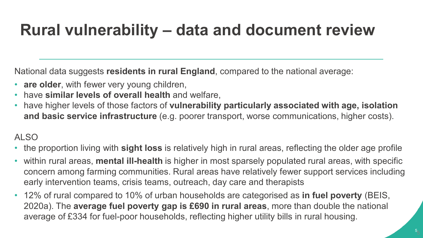### **Rural vulnerability – data and document review**

National data suggests **residents in rural England**, compared to the national average:

- **are older**, with fewer very young children,
- have **similar levels of overall health** and welfare,
- have higher levels of those factors of **vulnerability particularly associated with age, isolation and basic service infrastructure** (e.g. poorer transport, worse communications, higher costs).

#### ALSO

- the proportion living with **sight loss** is relatively high in rural areas, reflecting the older age profile
- within rural areas, **mental ill-health** is higher in most sparsely populated rural areas, with specific concern among farming communities. Rural areas have relatively fewer support services including early intervention teams, crisis teams, outreach, day care and therapists
- 12% of rural compared to 10% of urban households are categorised as **in fuel poverty** (BEIS, 2020a). The **average fuel poverty gap is £690 in rural areas**, more than double the national average of £334 for fuel-poor households, reflecting higher utility bills in rural housing.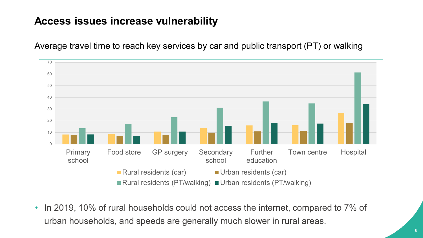#### **Access issues increase vulnerability**



Average travel time to reach key services by car and public transport (PT) or walking

• In 2019, 10% of rural households could not access the internet, compared to 7% of urban households, and speeds are generally much slower in rural areas.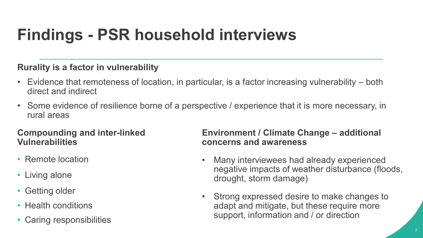### **Findings - PSR household interviews**

#### **Rurality is a factor in vulnerability**

- Evidence that remoteness of location, in particular, is a factor increasing vulnerability both direct and indirect
- Some evidence of resilience borne of a perspective / experience that it is more necessary, in rural areas

#### **Compounding and inter-linked Vulnerabilities**

- Remote location
- Living alone
- Getting older
- Health conditions
- Caring responsibilities

#### **Environment / Climate Change – additional concerns and awareness**

- Many interviewees had already experienced negative impacts of weather disturbance (floods, drought, storm damage)
- Strong expressed desire to make changes to adapt and mitigate, but these require more support, information and / or direction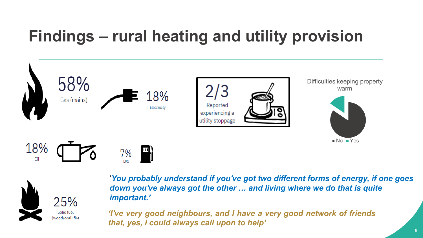### **Findings – rural heating and utility provision**





'*You probably understand if you've got two different forms of energy, if one goes down you've always got the other … and living where we do that is quite important.'*

*'I've very good neighbours, and I have a very good network of friends that, yes, I could always call upon to help'*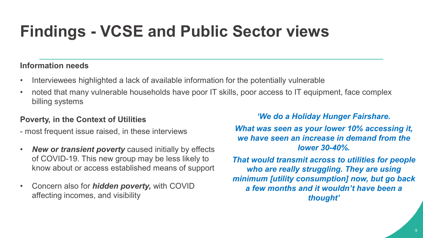### **Findings - VCSE and Public Sector views**

#### **Information needs**

- Interviewees highlighted a lack of available information for the potentially vulnerable
- noted that many vulnerable households have poor IT skills, poor access to IT equipment, face complex billing systems

#### **Poverty, in the Context of Utilities**

- most frequent issue raised, in these interviews
- *New or transient poverty* caused initially by effects of COVID-19. This new group may be less likely to know about or access established means of support
- Concern also for *hidden poverty,* with COVID affecting incomes, and visibility

#### *'We do a Holiday Hunger Fairshare.*

*What was seen as your lower 10% accessing it, we have seen an increase in demand from the lower 30-40%.* 

*That would transmit across to utilities for people who are really struggling. They are using minimum [utility consumption] now, but go back a few months and it wouldn't have been a thought'*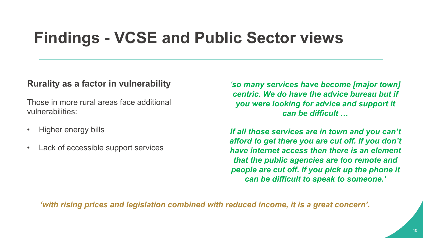### **Findings - VCSE and Public Sector views**

#### **Rurality as a factor in vulnerability**

Those in more rural areas face additional vulnerabilities:

- Higher energy bills
- Lack of accessible support services

*'so many services have become [major town] centric. We do have the advice bureau but if you were looking for advice and support it can be difficult …*

*If all those services are in town and you can't afford to get there you are cut off. If you don't have internet access then there is an element that the public agencies are too remote and people are cut off. If you pick up the phone it can be difficult to speak to someone.'*

*'with rising prices and legislation combined with reduced income, it is a great concern'.*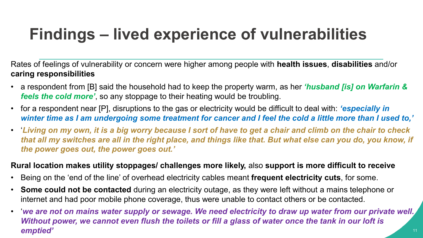### **Findings – lived experience of vulnerabilities**

Rates of feelings of vulnerability or concern were higher among people with **health issues**, **disabilities** and/or **caring responsibilities**

- a respondent from [B] said the household had to keep the property warm, as her *'husband [is] on Warfarin & feels the cold more'*, so any stoppage to their heating would be troubling.
- for a respondent near [P], disruptions to the gas or electricity would be difficult to deal with: *'especially in winter time as I am undergoing some treatment for cancer and I feel the cold a little more than I used to,'*
- '*Living on my own, it is a big worry because I sort of have to get a chair and climb on the chair to check that all my switches are all in the right place, and things like that. But what else can you do, you know, if the power goes out, the power goes out.'*

#### **Rural location makes utility stoppages/ challenges more likely,** also **support is more difficult to receive**

- Being on the 'end of the line' of overhead electricity cables meant **frequent electricity cuts**, for some.
- **Some could not be contacted** during an electricity outage, as they were left without a mains telephone or internet and had poor mobile phone coverage, thus were unable to contact others or be contacted.
- '*we are not on mains water supply or sewage. We need electricity to draw up water from our private well. Without power, we cannot even flush the toilets or fill a glass of water once the tank in our loft is emptied'*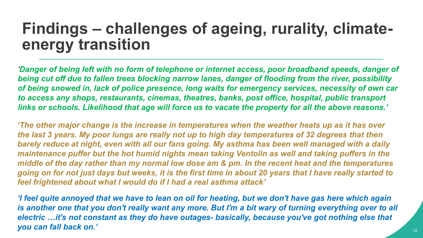### **Findings – challenges of ageing, rurality, climateenergy transition**

*'Danger of being left with no form of telephone or internet access, poor broadband speeds, danger of being cut off due to fallen trees blocking narrow lanes, danger of flooding from the river, possibility of being snowed in, lack of police presence, long waits for emergency services, necessity of own car to access any shops, restaurants, cinemas, theatres, banks, post office, hospital, public transport links or schools. Likelihood that age will force us to vacate the property for all the above reasons.'*

*'The other major change is the increase in temperatures when the weather heats up as it has over the last 3 years. My poor lungs are really not up to high day temperatures of 32 degrees that then barely reduce at night, even with all our fans going. My asthma has been well managed with a daily maintenance puffer but the hot humid nights mean taking Ventolin as well and taking puffers in the middle of the day rather than my normal low dose am & pm. In the recent heat and the temperatures going on for not just days but weeks, it is the first time in about 20 years that I have really started to feel frightened about what I would do if I had a real asthma attack'*

*'I feel quite annoyed that we have to lean on oil for heating, but we don't have gas here which again is another one that you don't really want any more. But I'm a bit wary of turning everything over to all electric …it's not constant as they do have outages- basically, because you've got nothing else that you can fall back on.'*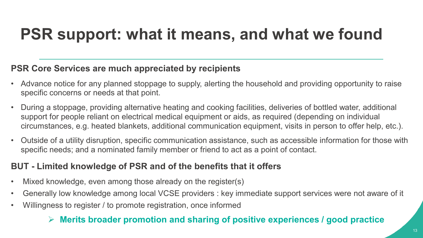### **PSR support: what it means, and what we found**

#### **PSR Core Services are much appreciated by recipients**

- Advance notice for any planned stoppage to supply, alerting the household and providing opportunity to raise specific concerns or needs at that point.
- During a stoppage, providing alternative heating and cooking facilities, deliveries of bottled water, additional support for people reliant on electrical medical equipment or aids, as required (depending on individual circumstances, e.g. heated blankets, additional communication equipment, visits in person to offer help, etc.).
- Outside of a utility disruption, specific communication assistance, such as accessible information for those with specific needs; and a nominated family member or friend to act as a point of contact.

#### **BUT - Limited knowledge of PSR and of the benefits that it offers**

- Mixed knowledge, even among those already on the register(s)
- Generally low knowledge among local VCSE providers : key immediate support services were not aware of it
- Willingness to register / to promote registration, once informed

#### **Merits broader promotion and sharing of positive experiences / good practice**